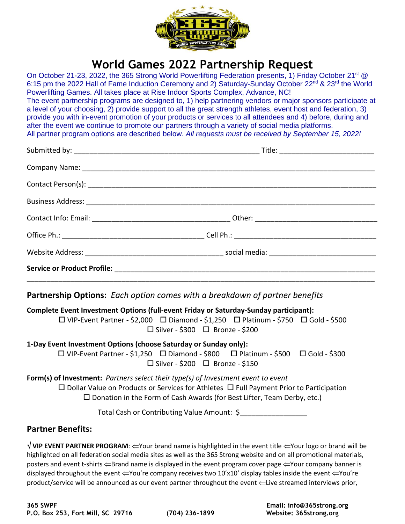

# **World Games 2022 Partnership Request**

On October 21-23, 2022, the 365 Strong World Powerlifting Federation presents, 1) Friday October 21<sup>st</sup> @ 6:15 pm the 2022 Hall of Fame Induction Ceremony and 2) Saturday-Sunday October 22<sup>nd</sup> & 23<sup>rd</sup> the World Powerlifting Games. All takes place at Rise Indoor Sports Complex, Advance, NC! The event partnership programs are designed to, 1) help partnering vendors or major sponsors participate at a level of your choosing, 2) provide support to all the great strength athletes, event host and federation, 3) provide you with in-event promotion of your products or services to all attendees and 4) before, during and after the event we continue to promote our partners through a variety of social media platforms. All partner program options are described below. *All requests must be received by September 15, 2022!*

**Partnership Options:** *Each option comes with a breakdown of partner benefits* 

**Complete Event Investment Options (full-event Friday or Saturday-Sunday participant):**

 $\Box$  VIP-Event Partner - \$2,000  $\Box$  Diamond - \$1,250  $\Box$  Platinum - \$750  $\Box$  Gold - \$500  $\square$  Silver - \$300  $\square$  Bronze - \$200

### **1-Day Event Investment Options (choose Saturday or Sunday only):**

 $\Box$  VIP-Event Partner - \$1,250  $\Box$  Diamond - \$800  $\Box$  Platinum - \$500  $\Box$  Gold - \$300  $\square$  Silver - \$200  $\square$  Bronze - \$150

## **Form(s) of Investment:** *Partners select their type(s) of Investment event to event*

 $\Box$  Dollar Value on Products or Services for Athletes  $\Box$  Full Payment Prior to Participation  $\square$  Donation in the Form of Cash Awards (for Best Lifter, Team Derby, etc.)

Total Cash or Contributing Value Amount: \$\_\_\_\_\_\_\_\_\_\_\_\_\_\_\_\_\_

# **Partner Benefits:**

**VIP EVENT PARTNER PROGRAM:**  $\leftarrow$  Your brand name is highlighted in the event title  $\leftarrow$  Your logo or brand will be highlighted on all federation social media sites as well as the 365 Strong website and on all promotional materials, posters and event t-shirts  $\Leftarrow$ Brand name is displayed in the event program cover page  $\Leftarrow$ Your company banner is displayed throughout the event  $\leftarrow$ You're company receives two 10'x10' display tables inside the event  $\leftarrow$ You're product/service will be announced as our event partner throughout the event  $\leftarrow$ Live streamed interviews prior,